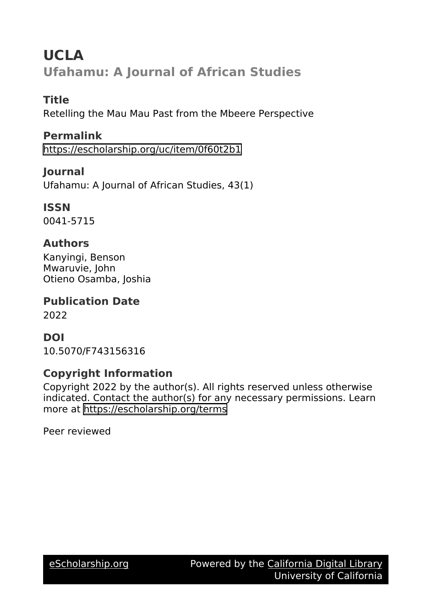# **UCLA Ufahamu: A Journal of African Studies**

### **Title**

Retelling the Mau Mau Past from the Mbeere Perspective

## **Permalink**

<https://escholarship.org/uc/item/0f60t2b1>

## **Journal**

Ufahamu: A Journal of African Studies, 43(1)

## **ISSN**

0041-5715

## **Authors**

Kanyingi, Benson Mwaruvie, John Otieno Osamba, Joshia

## **Publication Date**

2022

## **DOI**

10.5070/F743156316

## **Copyright Information**

Copyright 2022 by the author(s). All rights reserved unless otherwise indicated. Contact the author(s) for any necessary permissions. Learn more at <https://escholarship.org/terms>

Peer reviewed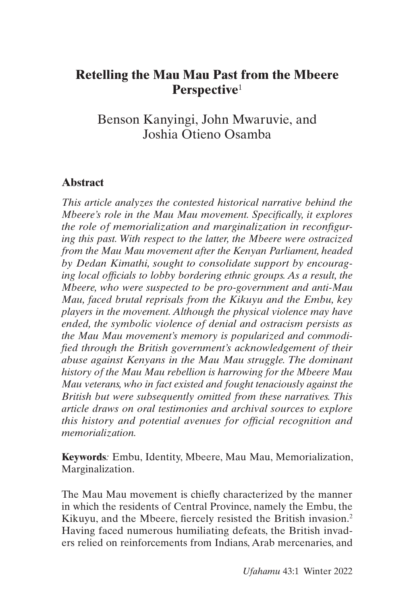## <span id="page-1-0"></span>**Retelling the Mau Mau Past from the Mbeere Perspective**[1](#page-22-0)

Benson Kanyingi, John Mwaruvie, and Joshia Otieno Osamba

### **Abstract**

*This article analyzes the contested historical narrative behind the Mbeere's role in the Mau Mau movement. Specifically, it explores the role of memorialization and marginalization in reconfiguring this past. With respect to the latter, the Mbeere were ostracized from the Mau Mau movement after the Kenyan Parliament, headed by Dedan Kimathi, sought to consolidate support by encouraging local officials to lobby bordering ethnic groups. As a result, the Mbeere, who were suspected to be pro-government and anti-Mau Mau, faced brutal reprisals from the Kikuyu and the Embu, key players in the movement. Although the physical violence may have ended, the symbolic violence of denial and ostracism persists as the Mau Mau movement's memory is popularized and commodified through the British government's acknowledgement of their abuse against Kenyans in the Mau Mau struggle. The dominant history of the Mau Mau rebellion is harrowing for the Mbeere Mau Mau veterans, who in fact existed and fought tenaciously against the British but were subsequently omitted from these narratives. This article draws on oral testimonies and archival sources to explore this history and potential avenues for official recognition and memorialization.*

**Keywords***:* Embu, Identity, Mbeere, Mau Mau, Memorialization, Marginalization.

The Mau Mau movement is chiefly characterized by the manner in which the residents of Central Province, namely the Embu, the Kikuyu, and the Mbeere, fiercely resisted the British invasion.[2](#page-22-0) Having faced numerous humiliating defeats, the British invaders relied on reinforcements from Indians, Arab mercenaries, and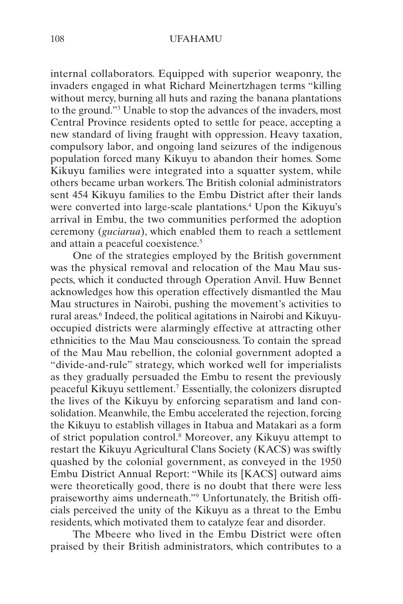<span id="page-2-0"></span>internal collaborators. Equipped with superior weaponry, the invaders engaged in what Richard Meinertzhagen terms "killing without mercy, burning all huts and razing the banana plantations to the ground."[3](#page-22-0) Unable to stop the advances of the invaders, most Central Province residents opted to settle for peace, accepting a new standard of living fraught with oppression. Heavy taxation, compulsory labor, and ongoing land seizures of the indigenous population forced many Kikuyu to abandon their homes. Some Kikuyu families were integrated into a squatter system, while others became urban workers. The British colonial administrators sent 454 Kikuyu families to the Embu District after their lands were converted into large-scale plantations.<sup>4</sup> Upon the Kikuyu's arrival in Embu, the two communities performed the adoption ceremony (*guciarua*), which enabled them to reach a settlement and attain a peaceful coexistence.<sup>[5](#page-22-0)</sup>

One of the strategies employed by the British government was the physical removal and relocation of the Mau Mau suspects, which it conducted through Operation Anvil. Huw Bennet acknowledges how this operation effectively dismantled the Mau Mau structures in Nairobi, pushing the movement's activities to rural areas.<sup>6</sup> Indeed, the political agitations in Nairobi and Kikuyuoccupied districts were alarmingly effective at attracting other ethnicities to the Mau Mau consciousness. To contain the spread of the Mau Mau rebellion, the colonial government adopted a "divide-and-rule" strategy, which worked well for imperialists as they gradually persuaded the Embu to resent the previously peaceful Kikuyu settlement.[7](#page-22-0) Essentially, the colonizers disrupted the lives of the Kikuyu by enforcing separatism and land consolidation. Meanwhile, the Embu accelerated the rejection, forcing the Kikuyu to establish villages in Itabua and Matakari as a form of strict population control[.8](#page-22-0) Moreover, any Kikuyu attempt to restart the Kikuyu Agricultural Clans Society (KACS) was swiftly quashed by the colonial government, as conveyed in the 1950 Embu District Annual Report: "While its [KACS] outward aims were theoretically good, there is no doubt that there were less praiseworthy aims underneath."[9](#page-22-0) Unfortunately, the British officials perceived the unity of the Kikuyu as a threat to the Embu residents, which motivated them to catalyze fear and disorder.

The Mbeere who lived in the Embu District were often praised by their British administrators, which contributes to a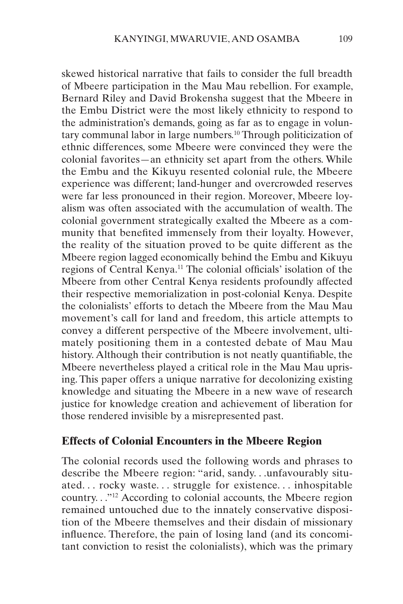<span id="page-3-0"></span>skewed historical narrative that fails to consider the full breadth of Mbeere participation in the Mau Mau rebellion. For example, Bernard Riley and David Brokensha suggest that the Mbeere in the Embu District were the most likely ethnicity to respond to the administration's demands, going as far as to engage in volun-tary communal labor in large numbers.<sup>[10](#page-22-0)</sup> Through politicization of ethnic differences, some Mbeere were convinced they were the colonial favorites—an ethnicity set apart from the others. While the Embu and the Kikuyu resented colonial rule, the Mbeere experience was different; land-hunger and overcrowded reserves were far less pronounced in their region. Moreover, Mbeere loyalism was often associated with the accumulation of wealth. The colonial government strategically exalted the Mbeere as a community that benefited immensely from their loyalty. However, the reality of the situation proved to be quite different as the Mbeere region lagged economically behind the Embu and Kikuyu regions of Central Kenya[.11](#page-22-0) The colonial officials' isolation of the Mbeere from other Central Kenya residents profoundly affected their respective memorialization in post-colonial Kenya. Despite the colonialists' efforts to detach the Mbeere from the Mau Mau movement's call for land and freedom, this article attempts to convey a different perspective of the Mbeere involvement, ultimately positioning them in a contested debate of Mau Mau history. Although their contribution is not neatly quantifiable, the Mbeere nevertheless played a critical role in the Mau Mau uprising. This paper offers a unique narrative for decolonizing existing knowledge and situating the Mbeere in a new wave of research justice for knowledge creation and achievement of liberation for those rendered invisible by a misrepresented past.

### **Effects of Colonial Encounters in the Mbeere Region**

The colonial records used the following words and phrases to describe the Mbeere region: "arid, sandy. . .unfavourably situated. . . rocky waste. . . struggle for existence. . . inhospitable country. . .["12](#page-22-0) According to colonial accounts, the Mbeere region remained untouched due to the innately conservative disposition of the Mbeere themselves and their disdain of missionary influence. Therefore, the pain of losing land (and its concomitant conviction to resist the colonialists), which was the primary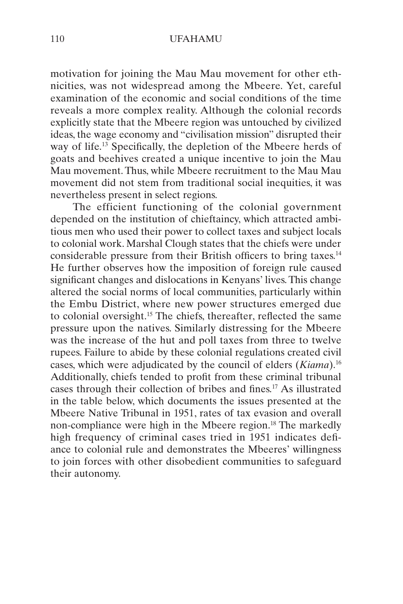<span id="page-4-0"></span>motivation for joining the Mau Mau movement for other ethnicities, was not widespread among the Mbeere. Yet, careful examination of the economic and social conditions of the time reveals a more complex reality. Although the colonial records explicitly state that the Mbeere region was untouched by civilized ideas, the wage economy and "civilisation mission" disrupted their way of life.<sup>13</sup> Specifically, the depletion of the Mbeere herds of goats and beehives created a unique incentive to join the Mau Mau movement. Thus, while Mbeere recruitment to the Mau Mau movement did not stem from traditional social inequities, it was nevertheless present in select regions.

The efficient functioning of the colonial government depended on the institution of chieftaincy, which attracted ambitious men who used their power to collect taxes and subject locals to colonial work. Marshal Clough states that the chiefs were under considerable pressure from their British officers to bring taxes.[14](#page-22-0) He further observes how the imposition of foreign rule caused significant changes and dislocations in Kenyans' lives. This change altered the social norms of local communities, particularly within the Embu District, where new power structures emerged due to colonial oversight[.15](#page-23-0) The chiefs, thereafter, reflected the same pressure upon the natives. Similarly distressing for the Mbeere was the increase of the hut and poll taxes from three to twelve rupees. Failure to abide by these colonial regulations created civil cases, which were adjudicated by the council of elders (*Kiama*).[16](#page-23-0) Additionally, chiefs tended to profit from these criminal tribunal cases through their collection of bribes and fines.[17](#page-23-0) As illustrated in the table below, which documents the issues presented at the Mbeere Native Tribunal in 1951, rates of tax evasion and overall non-compliance were high in the Mbeere region.[18](#page-23-0) The markedly high frequency of criminal cases tried in 1951 indicates defiance to colonial rule and demonstrates the Mbeeres' willingness to join forces with other disobedient communities to safeguard their autonomy.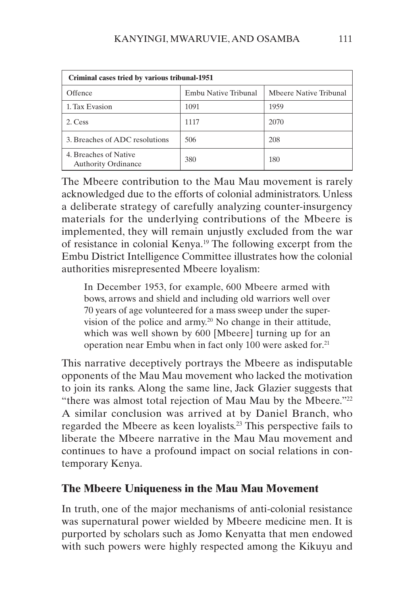<span id="page-5-0"></span>

| Criminal cases tried by various tribunal-1951       |                      |                        |
|-----------------------------------------------------|----------------------|------------------------|
| Offence                                             | Embu Native Tribunal | Mbeere Native Tribunal |
| 1. Tax Evasion                                      | 1091                 | 1959                   |
| 2. Cess                                             | 1117                 | 2070                   |
| 3. Breaches of ADC resolutions                      | 506                  | 208                    |
| 4. Breaches of Native<br><b>Authority Ordinance</b> | 380                  | 180                    |

The Mbeere contribution to the Mau Mau movement is rarely acknowledged due to the efforts of colonial administrators. Unless a deliberate strategy of carefully analyzing counter-insurgency materials for the underlying contributions of the Mbeere is implemented, they will remain unjustly excluded from the war of resistance in colonial Kenya.[19](#page-23-0) The following excerpt from the Embu District Intelligence Committee illustrates how the colonial authorities misrepresented Mbeere loyalism:

In December 1953, for example, 600 Mbeere armed with bows, arrows and shield and including old warriors well over 70 years of age volunteered for a mass sweep under the supervision of the police and army[.20](#page-23-0) No change in their attitude, which was well shown by 600 [Mbeere] turning up for an operation near Embu when in fact only 100 were asked for.[21](#page-23-0)

This narrative deceptively portrays the Mbeere as indisputable opponents of the Mau Mau movement who lacked the motivation to join its ranks. Along the same line, Jack Glazier suggests that "there was almost total rejection of Mau Mau by the Mbeere."<sup>[22](#page-23-0)</sup> A similar conclusion was arrived at by Daniel Branch, who regarded the Mbeere as keen loyalists[.23](#page-23-0) This perspective fails to liberate the Mbeere narrative in the Mau Mau movement and continues to have a profound impact on social relations in contemporary Kenya.

### **The Mbeere Uniqueness in the Mau Mau Movement**

In truth, one of the major mechanisms of anti-colonial resistance was supernatural power wielded by Mbeere medicine men. It is purported by scholars such as Jomo Kenyatta that men endowed with such powers were highly respected among the Kikuyu and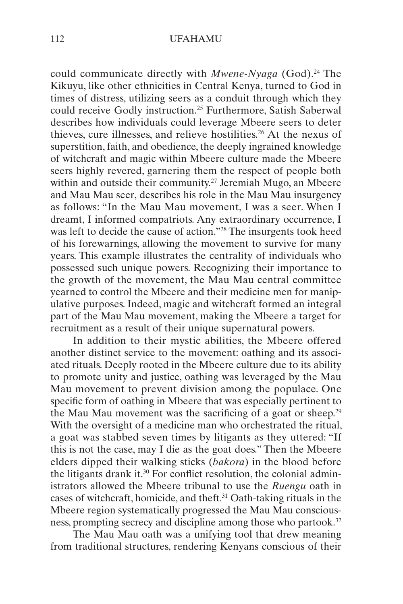<span id="page-6-0"></span>could communicate directly with *Mwene-Nyaga* (God).<sup>24</sup> The Kikuyu, like other ethnicities in Central Kenya, turned to God in times of distress, utilizing seers as a conduit through which they could receive Godly instruction[.25](#page-23-0) Furthermore, Satish Saberwal describes how individuals could leverage Mbeere seers to deter thieves, cure illnesses, and relieve hostilities.[26](#page-23-0) At the nexus of superstition, faith, and obedience, the deeply ingrained knowledge of witchcraft and magic within Mbeere culture made the Mbeere seers highly revered, garnering them the respect of people both within and outside their community.<sup>27</sup> Jeremiah Mugo, an Mbeere and Mau Mau seer, describes his role in the Mau Mau insurgency as follows: "In the Mau Mau movement, I was a seer. When I dreamt, I informed compatriots. Any extraordinary occurrence, I was left to decide the cause of action.["28](#page-23-0) The insurgents took heed of his forewarnings, allowing the movement to survive for many years. This example illustrates the centrality of individuals who possessed such unique powers. Recognizing their importance to the growth of the movement, the Mau Mau central committee yearned to control the Mbeere and their medicine men for manipulative purposes. Indeed, magic and witchcraft formed an integral part of the Mau Mau movement, making the Mbeere a target for recruitment as a result of their unique supernatural powers.

In addition to their mystic abilities, the Mbeere offered another distinct service to the movement: oathing and its associated rituals. Deeply rooted in the Mbeere culture due to its ability to promote unity and justice, oathing was leveraged by the Mau Mau movement to prevent division among the populace. One specific form of oathing in Mbeere that was especially pertinent to the Mau Mau movement was the sacrificing of a goat or sheep.[29](#page-23-0) With the oversight of a medicine man who orchestrated the ritual, a goat was stabbed seven times by litigants as they uttered: "If this is not the case, may I die as the goat does." Then the Mbeere elders dipped their walking sticks (*bakora*) in the blood before the litigants drank it[.30](#page-23-0) For conflict resolution, the colonial administrators allowed the Mbeere tribunal to use the *Ruengu* oath in cases of witchcraft, homicide, and theft[.31](#page-23-0) Oath-taking rituals in the Mbeere region systematically progressed the Mau Mau conscious-ness, prompting secrecy and discipline among those who partook.<sup>[32](#page-23-0)</sup>

The Mau Mau oath was a unifying tool that drew meaning from traditional structures, rendering Kenyans conscious of their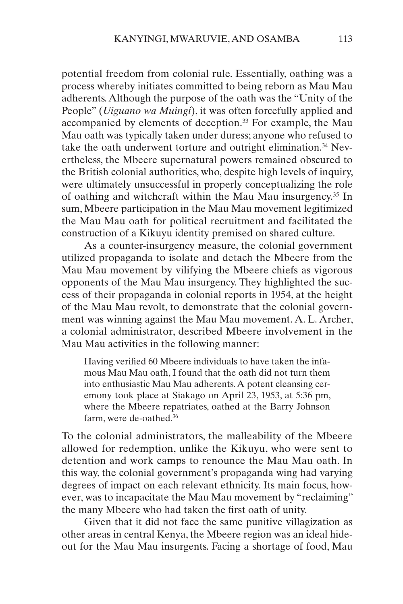<span id="page-7-0"></span>potential freedom from colonial rule. Essentially, oathing was a process whereby initiates committed to being reborn as Mau Mau adherents. Although the purpose of the oath was the "Unity of the People" (*Uiguano wa Muingi*), it was often forcefully applied and accompanied by elements of deception.<sup>[33](#page-23-0)</sup> For example, the Mau Mau oath was typically taken under duress; anyone who refused to take the oath underwent torture and outright elimination.<sup>34</sup> Nevertheless, the Mbeere supernatural powers remained obscured to the British colonial authorities, who, despite high levels of inquiry, were ultimately unsuccessful in properly conceptualizing the role of oathing and witchcraft within the Mau Mau insurgency.[35](#page-23-0) In sum, Mbeere participation in the Mau Mau movement legitimized the Mau Mau oath for political recruitment and facilitated the construction of a Kikuyu identity premised on shared culture.

As a counter-insurgency measure, the colonial government utilized propaganda to isolate and detach the Mbeere from the Mau Mau movement by vilifying the Mbeere chiefs as vigorous opponents of the Mau Mau insurgency. They highlighted the success of their propaganda in colonial reports in 1954, at the height of the Mau Mau revolt, to demonstrate that the colonial government was winning against the Mau Mau movement. A. L. Archer, a colonial administrator, described Mbeere involvement in the Mau Mau activities in the following manner:

Having verified 60 Mbeere individuals to have taken the infamous Mau Mau oath, I found that the oath did not turn them into enthusiastic Mau Mau adherents. A potent cleansing ceremony took place at Siakago on April 23, 1953, at 5:36 pm, where the Mbeere repatriates, oathed at the Barry Johnson farm, were de-oathed.<sup>36</sup>

To the colonial administrators, the malleability of the Mbeere allowed for redemption, unlike the Kikuyu, who were sent to detention and work camps to renounce the Mau Mau oath. In this way, the colonial government's propaganda wing had varying degrees of impact on each relevant ethnicity. Its main focus, however, was to incapacitate the Mau Mau movement by "reclaiming" the many Mbeere who had taken the first oath of unity.

Given that it did not face the same punitive villagization as other areas in central Kenya, the Mbeere region was an ideal hideout for the Mau Mau insurgents. Facing a shortage of food, Mau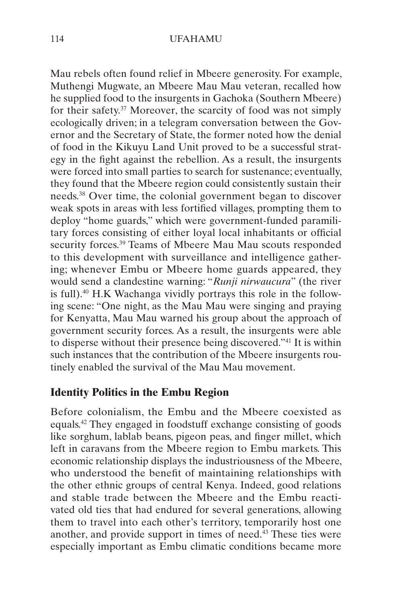<span id="page-8-0"></span>Mau rebels often found relief in Mbeere generosity. For example, Muthengi Mugwate, an Mbeere Mau Mau veteran, recalled how he supplied food to the insurgents in Gachoka (Southern Mbeere) for their safety.<sup>37</sup> Moreover, the scarcity of food was not simply ecologically driven; in a telegram conversation between the Governor and the Secretary of State, the former noted how the denial of food in the Kikuyu Land Unit proved to be a successful strategy in the fight against the rebellion. As a result, the insurgents were forced into small parties to search for sustenance; eventually, they found that the Mbeere region could consistently sustain their needs.[38](#page-24-0) Over time, the colonial government began to discover weak spots in areas with less fortified villages, prompting them to deploy "home guards," which were government-funded paramilitary forces consisting of either loyal local inhabitants or official security forces.[39](#page-24-0) Teams of Mbeere Mau Mau scouts responded to this development with surveillance and intelligence gathering; whenever Embu or Mbeere home guards appeared, they would send a clandestine warning: "*Runji nirwaucura*" (the river is full)[.40](#page-24-0) H.K Wachanga vividly portrays this role in the following scene: "One night, as the Mau Mau were singing and praying for Kenyatta, Mau Mau warned his group about the approach of government security forces. As a result, the insurgents were able to disperse without their presence being discovered.["41](#page-24-0) It is within such instances that the contribution of the Mbeere insurgents routinely enabled the survival of the Mau Mau movement.

### **Identity Politics in the Embu Region**

Before colonialism, the Embu and the Mbeere coexisted as equals.[42](#page-24-0) They engaged in foodstuff exchange consisting of goods like sorghum, lablab beans, pigeon peas, and finger millet, which left in caravans from the Mbeere region to Embu markets. This economic relationship displays the industriousness of the Mbeere, who understood the benefit of maintaining relationships with the other ethnic groups of central Kenya. Indeed, good relations and stable trade between the Mbeere and the Embu reactivated old ties that had endured for several generations, allowing them to travel into each other's territory, temporarily host one another, and provide support in times of need.<sup>43</sup> These ties were especially important as Embu climatic conditions became more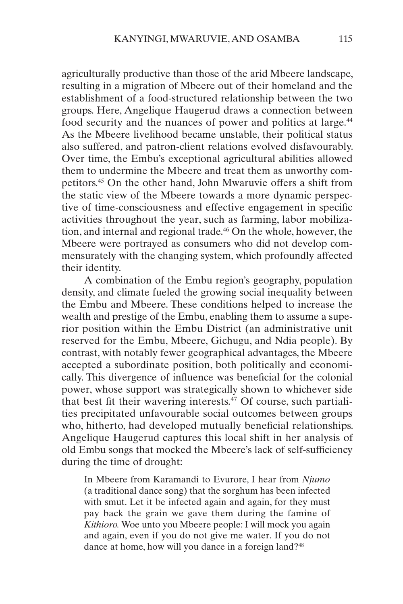<span id="page-9-0"></span>agriculturally productive than those of the arid Mbeere landscape, resulting in a migration of Mbeere out of their homeland and the establishment of a food-structured relationship between the two groups. Here, Angelique Haugerud draws a connection between food security and the nuances of power and politics at large.<sup>44</sup> As the Mbeere livelihood became unstable, their political status also suffered, and patron-client relations evolved disfavourably. Over time, the Embu's exceptional agricultural abilities allowed them to undermine the Mbeere and treat them as unworthy competitors[.45](#page-24-0) On the other hand, John Mwaruvie offers a shift from the static view of the Mbeere towards a more dynamic perspective of time-consciousness and effective engagement in specific activities throughout the year, such as farming, labor mobilization, and internal and regional trade.<sup>46</sup> On the whole, however, the Mbeere were portrayed as consumers who did not develop commensurately with the changing system, which profoundly affected their identity.

A combination of the Embu region's geography, population density, and climate fueled the growing social inequality between the Embu and Mbeere. These conditions helped to increase the wealth and prestige of the Embu, enabling them to assume a superior position within the Embu District (an administrative unit reserved for the Embu, Mbeere, Gichugu, and Ndia people). By contrast, with notably fewer geographical advantages, the Mbeere accepted a subordinate position, both politically and economically. This divergence of influence was beneficial for the colonial power, whose support was strategically shown to whichever side that best fit their wavering interests. $47$  Of course, such partialities precipitated unfavourable social outcomes between groups who, hitherto, had developed mutually beneficial relationships. Angelique Haugerud captures this local shift in her analysis of old Embu songs that mocked the Mbeere's lack of self-sufficiency during the time of drought:

In Mbeere from Karamandi to Evurore, I hear from *Njumo* (a traditional dance song) that the sorghum has been infected with smut. Let it be infected again and again, for they must pay back the grain we gave them during the famine of *Kithioro.* Woe unto you Mbeere people: I will mock you again and again, even if you do not give me water. If you do not dance at home, how will you dance in a foreign land?<sup>[48](#page-24-0)</sup>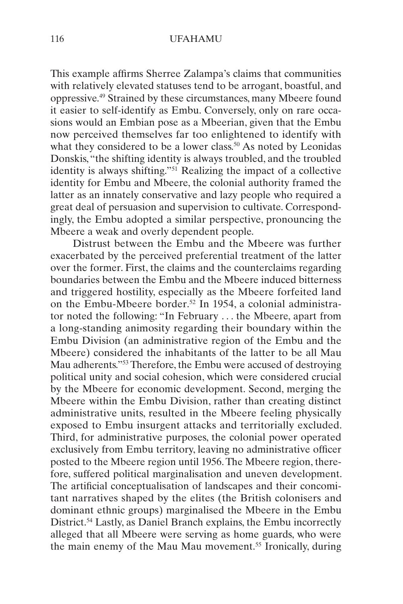<span id="page-10-0"></span>This example affirms Sherree Zalampa's claims that communities with relatively elevated statuses tend to be arrogant, boastful, and oppressive[.49](#page-24-0) Strained by these circumstances, many Mbeere found it easier to self-identify as Embu. Conversely, only on rare occasions would an Embian pose as a Mbeerian, given that the Embu now perceived themselves far too enlightened to identify with what they considered to be a lower class.<sup>50</sup> As noted by Leonidas Donskis, "the shifting identity is always troubled, and the troubled identity is always shifting.["51](#page-24-0) Realizing the impact of a collective identity for Embu and Mbeere, the colonial authority framed the latter as an innately conservative and lazy people who required a great deal of persuasion and supervision to cultivate. Correspondingly, the Embu adopted a similar perspective, pronouncing the Mbeere a weak and overly dependent people.

Distrust between the Embu and the Mbeere was further exacerbated by the perceived preferential treatment of the latter over the former. First, the claims and the counterclaims regarding boundaries between the Embu and the Mbeere induced bitterness and triggered hostility, especially as the Mbeere forfeited land on the Embu-Mbeere border[.52](#page-24-0) In 1954, a colonial administrator noted the following: "In February . . . the Mbeere, apart from a long-standing animosity regarding their boundary within the Embu Division (an administrative region of the Embu and the Mbeere) considered the inhabitants of the latter to be all Mau Mau adherents.["53](#page-24-0) Therefore, the Embu were accused of destroying political unity and social cohesion, which were considered crucial by the Mbeere for economic development. Second, merging the Mbeere within the Embu Division, rather than creating distinct administrative units, resulted in the Mbeere feeling physically exposed to Embu insurgent attacks and territorially excluded. Third, for administrative purposes, the colonial power operated exclusively from Embu territory, leaving no administrative officer posted to the Mbeere region until 1956. The Mbeere region, therefore, suffered political marginalisation and uneven development. The artificial conceptualisation of landscapes and their concomitant narratives shaped by the elites (the British colonisers and dominant ethnic groups) marginalised the Mbeere in the Embu District.<sup>[54](#page-24-0)</sup> Lastly, as Daniel Branch explains, the Embu incorrectly alleged that all Mbeere were serving as home guards, who were the main enemy of the Mau Mau movement.[55](#page-24-0) Ironically, during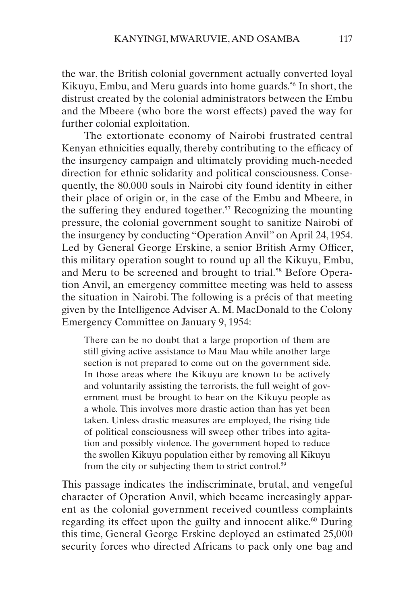<span id="page-11-0"></span>the war, the British colonial government actually converted loyal Kikuyu, Embu, and Meru guards into home guards.<sup>[56](#page-24-0)</sup> In short, the distrust created by the colonial administrators between the Embu and the Mbeere (who bore the worst effects) paved the way for further colonial exploitation.

The extortionate economy of Nairobi frustrated central Kenyan ethnicities equally, thereby contributing to the efficacy of the insurgency campaign and ultimately providing much-needed direction for ethnic solidarity and political consciousness. Consequently, the 80,000 souls in Nairobi city found identity in either their place of origin or, in the case of the Embu and Mbeere, in the suffering they endured together.<sup>[57](#page-24-0)</sup> Recognizing the mounting pressure, the colonial government sought to sanitize Nairobi of the insurgency by conducting "Operation Anvil" on April 24, 1954. Led by General George Erskine, a senior British Army Officer, this military operation sought to round up all the Kikuyu, Embu, and Meru to be screened and brought to trial.<sup>58</sup> Before Operation Anvil, an emergency committee meeting was held to assess the situation in Nairobi. The following is a précis of that meeting given by the Intelligence Adviser A. M. MacDonald to the Colony Emergency Committee on January 9, 1954:

There can be no doubt that a large proportion of them are still giving active assistance to Mau Mau while another large section is not prepared to come out on the government side. In those areas where the Kikuyu are known to be actively and voluntarily assisting the terrorists, the full weight of government must be brought to bear on the Kikuyu people as a whole. This involves more drastic action than has yet been taken. Unless drastic measures are employed, the rising tide of political consciousness will sweep other tribes into agitation and possibly violence. The government hoped to reduce the swollen Kikuyu population either by removing all Kikuyu from the city or subjecting them to strict control.<sup>[59](#page-25-0)</sup>

This passage indicates the indiscriminate, brutal, and vengeful character of Operation Anvil, which became increasingly apparent as the colonial government received countless complaints regarding its effect upon the guilty and innocent alike.<sup>60</sup> During this time, General George Erskine deployed an estimated 25,000 security forces who directed Africans to pack only one bag and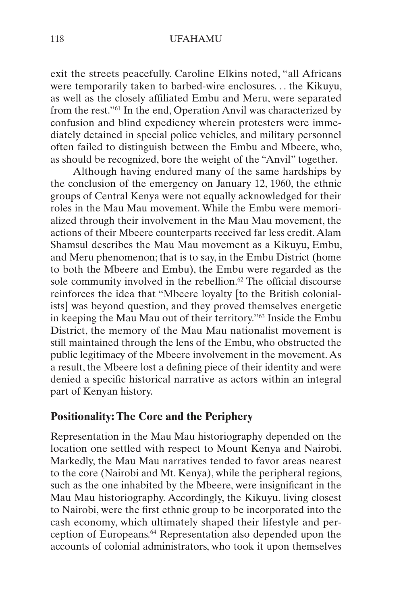<span id="page-12-0"></span>exit the streets peacefully. Caroline Elkins noted, "all Africans were temporarily taken to barbed-wire enclosures. . . the Kikuyu, as well as the closely affiliated Embu and Meru, were separated from the rest.["61](#page-25-0) In the end, Operation Anvil was characterized by confusion and blind expediency wherein protesters were immediately detained in special police vehicles, and military personnel often failed to distinguish between the Embu and Mbeere, who, as should be recognized, bore the weight of the "Anvil" together.

Although having endured many of the same hardships by the conclusion of the emergency on January 12, 1960, the ethnic groups of Central Kenya were not equally acknowledged for their roles in the Mau Mau movement. While the Embu were memorialized through their involvement in the Mau Mau movement, the actions of their Mbeere counterparts received far less credit. Alam Shamsul describes the Mau Mau movement as a Kikuyu, Embu, and Meru phenomenon; that is to say, in the Embu District (home to both the Mbeere and Embu), the Embu were regarded as the sole community involved in the rebellion.<sup>62</sup> The official discourse reinforces the idea that "Mbeere loyalty [to the British colonialists] was beyond question, and they proved themselves energetic in keeping the Mau Mau out of their territory.["63](#page-25-0) Inside the Embu District, the memory of the Mau Mau nationalist movement is still maintained through the lens of the Embu, who obstructed the public legitimacy of the Mbeere involvement in the movement. As a result, the Mbeere lost a defining piece of their identity and were denied a specific historical narrative as actors within an integral part of Kenyan history.

### **Positionality: The Core and the Periphery**

Representation in the Mau Mau historiography depended on the location one settled with respect to Mount Kenya and Nairobi. Markedly, the Mau Mau narratives tended to favor areas nearest to the core (Nairobi and Mt. Kenya), while the peripheral regions, such as the one inhabited by the Mbeere, were insignificant in the Mau Mau historiography. Accordingly, the Kikuyu, living closest to Nairobi, were the first ethnic group to be incorporated into the cash economy, which ultimately shaped their lifestyle and perception of Europeans[.64](#page-25-0) Representation also depended upon the accounts of colonial administrators, who took it upon themselves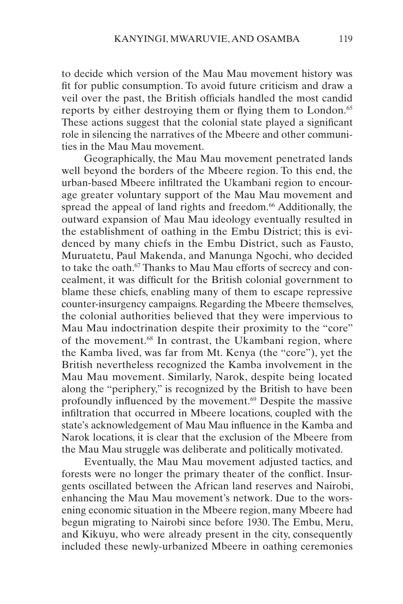<span id="page-13-0"></span>to decide which version of the Mau Mau movement history was fit for public consumption. To avoid future criticism and draw a veil over the past, the British officials handled the most candid reports by either destroying them or flying them to London.<sup>65</sup> These actions suggest that the colonial state played a significant role in silencing the narratives of the Mbeere and other communities in the Mau Mau movement.

Geographically, the Mau Mau movement penetrated lands well beyond the borders of the Mbeere region. To this end, the urban-based Mbeere infiltrated the Ukambani region to encourage greater voluntary support of the Mau Mau movement and spread the appeal of land rights and freedom.<sup>66</sup> Additionally, the outward expansion of Mau Mau ideology eventually resulted in the establishment of oathing in the Embu District; this is evidenced by many chiefs in the Embu District, such as Fausto, Muruatetu, Paul Makenda, and Manunga Ngochi, who decided to take the oath.<sup>67</sup> Thanks to Mau Mau efforts of secrecy and concealment, it was difficult for the British colonial government to blame these chiefs, enabling many of them to escape repressive counter-insurgency campaigns. Regarding the Mbeere themselves, the colonial authorities believed that they were impervious to Mau Mau indoctrination despite their proximity to the "core" of the movement.<sup>68</sup> In contrast, the Ukambani region, where the Kamba lived, was far from Mt. Kenya (the "core"), yet the British nevertheless recognized the Kamba involvement in the Mau Mau movement. Similarly, Narok, despite being located along the "periphery," is recognized by the British to have been profoundly influenced by the movement.<sup>69</sup> Despite the massive infiltration that occurred in Mbeere locations, coupled with the state's acknowledgement of Mau Mau influence in the Kamba and Narok locations, it is clear that the exclusion of the Mbeere from the Mau Mau struggle was deliberate and politically motivated.

Eventually, the Mau Mau movement adjusted tactics, and forests were no longer the primary theater of the conflict. Insurgents oscillated between the African land reserves and Nairobi, enhancing the Mau Mau movement's network. Due to the worsening economic situation in the Mbeere region, many Mbeere had begun migrating to Nairobi since before 1930. The Embu, Meru, and Kikuyu, who were already present in the city, consequently included these newly-urbanized Mbeere in oathing ceremonies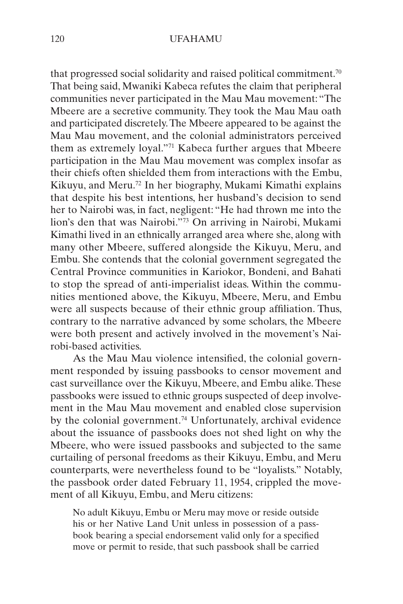<span id="page-14-0"></span>that progressed social solidarity and raised political commitment.<sup>[70](#page-25-0)</sup> That being said, Mwaniki Kabeca refutes the claim that peripheral communities never participated in the Mau Mau movement: "The Mbeere are a secretive community. They took the Mau Mau oath and participated discretely. The Mbeere appeared to be against the Mau Mau movement, and the colonial administrators perceived them as extremely loyal.["71](#page-25-0) Kabeca further argues that Mbeere participation in the Mau Mau movement was complex insofar as their chiefs often shielded them from interactions with the Embu, Kikuyu, and Meru[.72](#page-25-0) In her biography, Mukami Kimathi explains that despite his best intentions, her husband's decision to send her to Nairobi was, in fact, negligent: "He had thrown me into the lion's den that was Nairobi."[73](#page-25-0) On arriving in Nairobi, Mukami Kimathi lived in an ethnically arranged area where she, along with many other Mbeere, suffered alongside the Kikuyu, Meru, and Embu. She contends that the colonial government segregated the Central Province communities in Kariokor, Bondeni, and Bahati to stop the spread of anti-imperialist ideas. Within the communities mentioned above, the Kikuyu, Mbeere, Meru, and Embu were all suspects because of their ethnic group affiliation. Thus, contrary to the narrative advanced by some scholars, the Mbeere were both present and actively involved in the movement's Nairobi-based activities.

As the Mau Mau violence intensified, the colonial government responded by issuing passbooks to censor movement and cast surveillance over the Kikuyu, Mbeere, and Embu alike. These passbooks were issued to ethnic groups suspected of deep involvement in the Mau Mau movement and enabled close supervision by the colonial government.<sup>74</sup> Unfortunately, archival evidence about the issuance of passbooks does not shed light on why the Mbeere, who were issued passbooks and subjected to the same curtailing of personal freedoms as their Kikuyu, Embu, and Meru counterparts, were nevertheless found to be "loyalists." Notably, the passbook order dated February 11, 1954, crippled the movement of all Kikuyu, Embu, and Meru citizens:

No adult Kikuyu, Embu or Meru may move or reside outside his or her Native Land Unit unless in possession of a passbook bearing a special endorsement valid only for a specified move or permit to reside, that such passbook shall be carried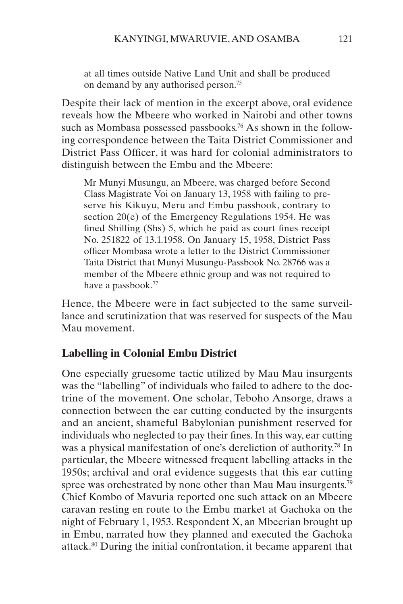<span id="page-15-0"></span>at all times outside Native Land Unit and shall be produced on demand by any authorised person[.75](#page-25-0)

Despite their lack of mention in the excerpt above, oral evidence reveals how the Mbeere who worked in Nairobi and other towns such as Mombasa possessed passbooks.<sup>76</sup> As shown in the following correspondence between the Taita District Commissioner and District Pass Officer, it was hard for colonial administrators to distinguish between the Embu and the Mbeere:

Mr Munyi Musungu, an Mbeere, was charged before Second Class Magistrate Voi on January 13, 1958 with failing to preserve his Kikuyu, Meru and Embu passbook, contrary to section 20(e) of the Emergency Regulations 1954. He was fined Shilling (Shs) 5, which he paid as court fines receipt No. 251822 of 13.1.1958. On January 15, 1958, District Pass officer Mombasa wrote a letter to the District Commissioner Taita District that Munyi Musungu-Passbook No. 28766 was a member of the Mbeere ethnic group and was not required to have a passbook.<sup>[77](#page-26-0)</sup>

Hence, the Mbeere were in fact subjected to the same surveillance and scrutinization that was reserved for suspects of the Mau Mau movement.

### **Labelling in Colonial Embu District**

One especially gruesome tactic utilized by Mau Mau insurgents was the "labelling" of individuals who failed to adhere to the doctrine of the movement. One scholar, Teboho Ansorge, draws a connection between the ear cutting conducted by the insurgents and an ancient, shameful Babylonian punishment reserved for individuals who neglected to pay their fines. In this way, ear cutting was a physical manifestation of one's dereliction of authority[.78](#page-26-0) In particular, the Mbeere witnessed frequent labelling attacks in the 1950s; archival and oral evidence suggests that this ear cutting spree was orchestrated by none other than Mau Mau insurgents.<sup>[79](#page-26-0)</sup> Chief Kombo of Mavuria reported one such attack on an Mbeere caravan resting en route to the Embu market at Gachoka on the night of February 1, 1953. Respondent X, an Mbeerian brought up in Embu, narrated how they planned and executed the Gachoka attack.[80](#page-26-0) During the initial confrontation, it became apparent that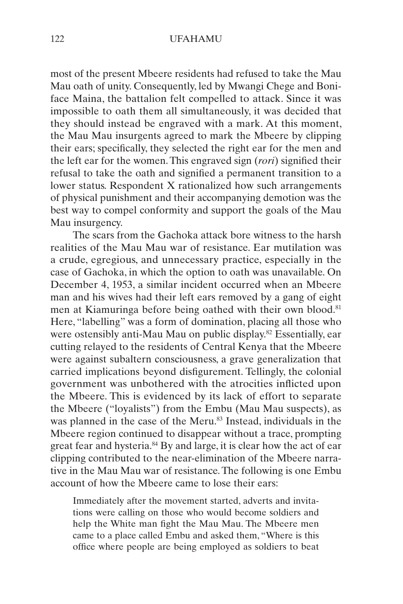<span id="page-16-0"></span>most of the present Mbeere residents had refused to take the Mau Mau oath of unity. Consequently, led by Mwangi Chege and Boniface Maina, the battalion felt compelled to attack. Since it was impossible to oath them all simultaneously, it was decided that they should instead be engraved with a mark. At this moment, the Mau Mau insurgents agreed to mark the Mbeere by clipping their ears; specifically, they selected the right ear for the men and the left ear for the women. This engraved sign (*rori*) signified their refusal to take the oath and signified a permanent transition to a lower status. Respondent X rationalized how such arrangements of physical punishment and their accompanying demotion was the best way to compel conformity and support the goals of the Mau Mau insurgency.

The scars from the Gachoka attack bore witness to the harsh realities of the Mau Mau war of resistance. Ear mutilation was a crude, egregious, and unnecessary practice, especially in the case of Gachoka, in which the option to oath was unavailable. On December 4, 1953, a similar incident occurred when an Mbeere man and his wives had their left ears removed by a gang of eight men at Kiamuringa before being oathed with their own blood.<sup>[81](#page-26-0)</sup> Here, "labelling" was a form of domination, placing all those who were ostensibly anti-Mau Mau on public display[.82](#page-26-0) Essentially, ear cutting relayed to the residents of Central Kenya that the Mbeere were against subaltern consciousness, a grave generalization that carried implications beyond disfigurement. Tellingly, the colonial government was unbothered with the atrocities inflicted upon the Mbeere. This is evidenced by its lack of effort to separate the Mbeere ("loyalists") from the Embu (Mau Mau suspects), as was planned in the case of the Meru.<sup>83</sup> Instead, individuals in the Mbeere region continued to disappear without a trace, prompting great fear and hysteria.<sup>[84](#page-26-0)</sup> By and large, it is clear how the act of ear clipping contributed to the near-elimination of the Mbeere narrative in the Mau Mau war of resistance. The following is one Embu account of how the Mbeere came to lose their ears:

Immediately after the movement started, adverts and invitations were calling on those who would become soldiers and help the White man fight the Mau Mau. The Mbeere men came to a place called Embu and asked them, "Where is this office where people are being employed as soldiers to beat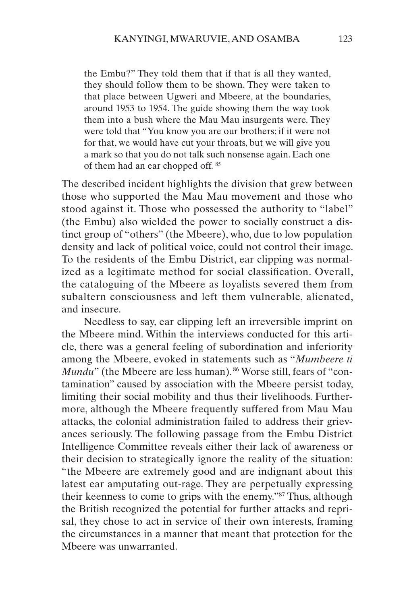<span id="page-17-0"></span>the Embu?" They told them that if that is all they wanted, they should follow them to be shown. They were taken to that place between Ugweri and Mbeere, at the boundaries, around 1953 to 1954. The guide showing them the way took them into a bush where the Mau Mau insurgents were. They were told that "You know you are our brothers; if it were not for that, we would have cut your throats, but we will give you a mark so that you do not talk such nonsense again. Each one of them had an ear chopped off. [85](#page-26-0)

The described incident highlights the division that grew between those who supported the Mau Mau movement and those who stood against it. Those who possessed the authority to "label" (the Embu) also wielded the power to socially construct a distinct group of "others" (the Mbeere), who, due to low population density and lack of political voice, could not control their image. To the residents of the Embu District, ear clipping was normalized as a legitimate method for social classification. Overall, the cataloguing of the Mbeere as loyalists severed them from subaltern consciousness and left them vulnerable, alienated, and insecure.

Needless to say, ear clipping left an irreversible imprint on the Mbeere mind. Within the interviews conducted for this article, there was a general feeling of subordination and inferiority among the Mbeere, evoked in statements such as "*Mumbeere ti Mundu*" (the Mbeere are less human). <sup>[86](#page-26-0)</sup> Worse still, fears of "contamination" caused by association with the Mbeere persist today, limiting their social mobility and thus their livelihoods. Furthermore, although the Mbeere frequently suffered from Mau Mau attacks, the colonial administration failed to address their grievances seriously. The following passage from the Embu District Intelligence Committee reveals either their lack of awareness or their decision to strategically ignore the reality of the situation: "the Mbeere are extremely good and are indignant about this latest ear amputating out-rage. They are perpetually expressing their keenness to come to grips with the enemy."[87](#page-26-0) Thus, although the British recognized the potential for further attacks and reprisal, they chose to act in service of their own interests, framing the circumstances in a manner that meant that protection for the Mbeere was unwarranted.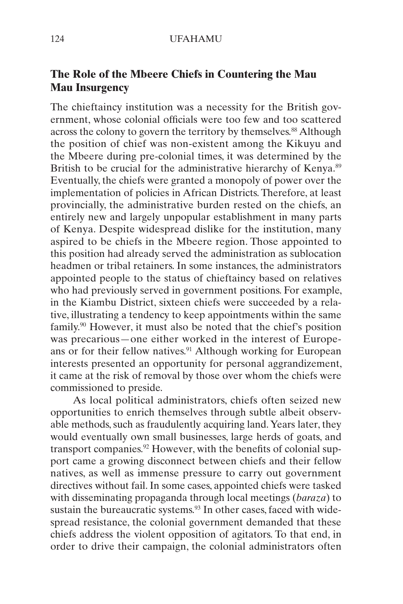### <span id="page-18-0"></span>**The Role of the Mbeere Chiefs in Countering the Mau Mau Insurgency**

The chieftaincy institution was a necessity for the British government, whose colonial officials were too few and too scattered across the colony to govern the territory by themselves.<sup>88</sup> Although the position of chief was non-existent among the Kikuyu and the Mbeere during pre-colonial times, it was determined by the British to be crucial for the administrative hierarchy of Kenya.<sup>[89](#page-26-0)</sup> Eventually, the chiefs were granted a monopoly of power over the implementation of policies in African Districts. Therefore, at least provincially, the administrative burden rested on the chiefs, an entirely new and largely unpopular establishment in many parts of Kenya. Despite widespread dislike for the institution, many aspired to be chiefs in the Mbeere region. Those appointed to this position had already served the administration as sublocation headmen or tribal retainers. In some instances, the administrators appointed people to the status of chieftaincy based on relatives who had previously served in government positions. For example, in the Kiambu District, sixteen chiefs were succeeded by a relative, illustrating a tendency to keep appointments within the same family.[90](#page-26-0) However, it must also be noted that the chief's position was precarious—one either worked in the interest of Europeans or for their fellow natives.<sup>91</sup> Although working for European interests presented an opportunity for personal aggrandizement, it came at the risk of removal by those over whom the chiefs were commissioned to preside.

As local political administrators, chiefs often seized new opportunities to enrich themselves through subtle albeit observable methods, such as fraudulently acquiring land. Years later, they would eventually own small businesses, large herds of goats, and transport companies.<sup>92</sup> However, with the benefits of colonial support came a growing disconnect between chiefs and their fellow natives, as well as immense pressure to carry out government directives without fail. In some cases, appointed chiefs were tasked with disseminating propaganda through local meetings (*baraza*) to sustain the bureaucratic systems.<sup>[93](#page-27-0)</sup> In other cases, faced with widespread resistance, the colonial government demanded that these chiefs address the violent opposition of agitators. To that end, in order to drive their campaign, the colonial administrators often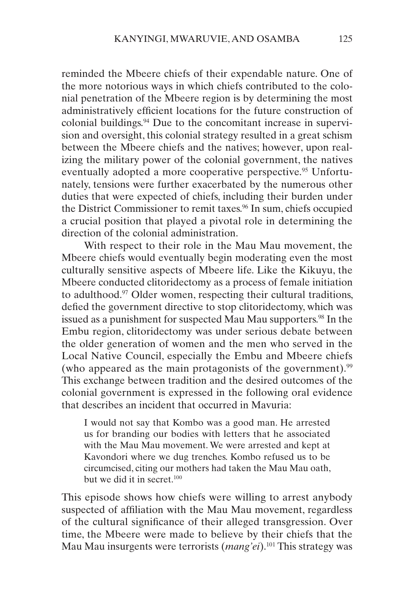<span id="page-19-0"></span>reminded the Mbeere chiefs of their expendable nature. One of the more notorious ways in which chiefs contributed to the colonial penetration of the Mbeere region is by determining the most administratively efficient locations for the future construction of colonial buildings.[94](#page-27-0) Due to the concomitant increase in supervision and oversight, this colonial strategy resulted in a great schism between the Mbeere chiefs and the natives; however, upon realizing the military power of the colonial government, the natives eventually adopted a more cooperative perspective.<sup>[95](#page-27-0)</sup> Unfortunately, tensions were further exacerbated by the numerous other duties that were expected of chiefs, including their burden under the District Commissioner to remit taxes.<sup>96</sup> In sum, chiefs occupied a crucial position that played a pivotal role in determining the direction of the colonial administration.

With respect to their role in the Mau Mau movement, the Mbeere chiefs would eventually begin moderating even the most culturally sensitive aspects of Mbeere life. Like the Kikuyu, the Mbeere conducted clitoridectomy as a process of female initiation to adulthood.[97](#page-27-0) Older women, respecting their cultural traditions, defied the government directive to stop clitoridectomy, which was issued as a punishment for suspected Mau Mau supporters.<sup>98</sup> In the Embu region, clitoridectomy was under serious debate between the older generation of women and the men who served in the Local Native Council, especially the Embu and Mbeere chiefs (who appeared as the main protagonists of the government).<sup>99</sup> This exchange between tradition and the desired outcomes of the colonial government is expressed in the following oral evidence that describes an incident that occurred in Mavuria:

I would not say that Kombo was a good man. He arrested us for branding our bodies with letters that he associated with the Mau Mau movement. We were arrested and kept at Kavondori where we dug trenches. Kombo refused us to be circumcised, citing our mothers had taken the Mau Mau oath, but we did it in secret.<sup>100</sup>

This episode shows how chiefs were willing to arrest anybody suspected of affiliation with the Mau Mau movement, regardless of the cultural significance of their alleged transgression. Over time, the Mbeere were made to believe by their chiefs that the Mau Mau insurgents were terrorists (*mang'ei*)[.101](#page-27-0) This strategy was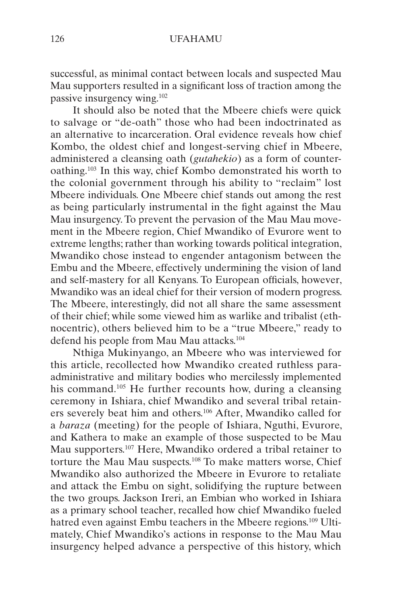<span id="page-20-0"></span>successful, as minimal contact between locals and suspected Mau Mau supporters resulted in a significant loss of traction among the passive insurgency wing[.102](#page-27-0)

It should also be noted that the Mbeere chiefs were quick to salvage or "de-oath" those who had been indoctrinated as an alternative to incarceration. Oral evidence reveals how chief Kombo, the oldest chief and longest-serving chief in Mbeere, administered a cleansing oath (*gutahekio*) as a form of counteroathing.[103](#page-27-0) In this way, chief Kombo demonstrated his worth to the colonial government through his ability to "reclaim" lost Mbeere individuals. One Mbeere chief stands out among the rest as being particularly instrumental in the fight against the Mau Mau insurgency. To prevent the pervasion of the Mau Mau movement in the Mbeere region, Chief Mwandiko of Evurore went to extreme lengths; rather than working towards political integration, Mwandiko chose instead to engender antagonism between the Embu and the Mbeere, effectively undermining the vision of land and self-mastery for all Kenyans. To European officials, however, Mwandiko was an ideal chief for their version of modern progress. The Mbeere, interestingly, did not all share the same assessment of their chief; while some viewed him as warlike and tribalist (ethnocentric), others believed him to be a "true Mbeere," ready to defend his people from Mau Mau attacks.<sup>[104](#page-27-0)</sup>

Nthiga Mukinyango, an Mbeere who was interviewed for this article, recollected how Mwandiko created ruthless paraadministrative and military bodies who mercilessly implemented his command.<sup>105</sup> He further recounts how, during a cleansing ceremony in Ishiara, chief Mwandiko and several tribal retainers severely beat him and others.[106](#page-27-0) After, Mwandiko called for a *baraza* (meeting) for the people of Ishiara, Nguthi, Evurore, and Kathera to make an example of those suspected to be Mau Mau supporters.[107](#page-27-0) Here, Mwandiko ordered a tribal retainer to torture the Mau Mau suspects[.108](#page-27-0) To make matters worse, Chief Mwandiko also authorized the Mbeere in Evurore to retaliate and attack the Embu on sight, solidifying the rupture between the two groups. Jackson Ireri, an Embian who worked in Ishiara as a primary school teacher, recalled how chief Mwandiko fueled hatred even against Embu teachers in the Mbeere regions.<sup>109</sup> Ultimately, Chief Mwandiko's actions in response to the Mau Mau insurgency helped advance a perspective of this history, which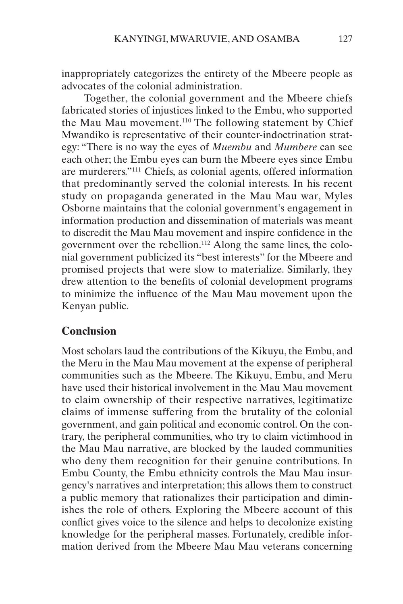<span id="page-21-0"></span>inappropriately categorizes the entirety of the Mbeere people as advocates of the colonial administration.

Together, the colonial government and the Mbeere chiefs fabricated stories of injustices linked to the Embu, who supported the Mau Mau movement.<sup>[110](#page-28-0)</sup> The following statement by Chief Mwandiko is representative of their counter-indoctrination strategy: "There is no way the eyes of *Muembu* and *Mumbere* can see each other; the Embu eyes can burn the Mbeere eyes since Embu are murderers."[111](#page-28-0) Chiefs, as colonial agents, offered information that predominantly served the colonial interests. In his recent study on propaganda generated in the Mau Mau war, Myles Osborne maintains that the colonial government's engagement in information production and dissemination of materials was meant to discredit the Mau Mau movement and inspire confidence in the government over the rebellion.[112](#page-28-0) Along the same lines, the colonial government publicized its "best interests" for the Mbeere and promised projects that were slow to materialize. Similarly, they drew attention to the benefits of colonial development programs to minimize the influence of the Mau Mau movement upon the Kenyan public.

### **Conclusion**

Most scholars laud the contributions of the Kikuyu, the Embu, and the Meru in the Mau Mau movement at the expense of peripheral communities such as the Mbeere. The Kikuyu, Embu, and Meru have used their historical involvement in the Mau Mau movement to claim ownership of their respective narratives, legitimatize claims of immense suffering from the brutality of the colonial government, and gain political and economic control. On the contrary, the peripheral communities, who try to claim victimhood in the Mau Mau narrative, are blocked by the lauded communities who deny them recognition for their genuine contributions. In Embu County, the Embu ethnicity controls the Mau Mau insurgency's narratives and interpretation; this allows them to construct a public memory that rationalizes their participation and diminishes the role of others. Exploring the Mbeere account of this conflict gives voice to the silence and helps to decolonize existing knowledge for the peripheral masses. Fortunately, credible information derived from the Mbeere Mau Mau veterans concerning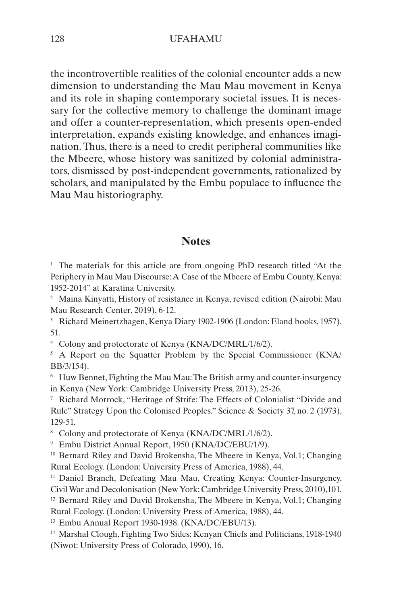<span id="page-22-0"></span>the incontrovertible realities of the colonial encounter adds a new dimension to understanding the Mau Mau movement in Kenya and its role in shaping contemporary societal issues. It is necessary for the collective memory to challenge the dominant image and offer a counter-representation, which presents open-ended interpretation, expands existing knowledge, and enhances imagination. Thus, there is a need to credit peripheral communities like the Mbeere, whose history was sanitized by colonial administrators, dismissed by post-independent governments, rationalized by scholars, and manipulated by the Embu populace to influence the Mau Mau historiography.

#### **Notes**

<sup>[1](#page-1-0)</sup> The materials for this article are from ongoing PhD research titled "At the Periphery in Mau Mau Discourse: A Case of the Mbeere of Embu County, Kenya: 1952-2014" at Karatina University.

[2](#page-1-0) Maina Kinyatti, History of resistance in Kenya, revised edition (Nairobi: Mau Mau Research Center, 2019), 6-12.

[3](#page-2-0) Richard Meinertzhagen, Kenya Diary 1902-1906 (London: Eland books, 1957), 51.

[4](#page-2-0) Colony and protectorate of Kenya (KNA/DC/MRL/1/6/2).

<sup>[5](#page-2-0)</sup> A Report on the Squatter Problem by the Special Commissioner (KNA/ BB/3/154).

[6](#page-2-0) Huw Bennet, Fighting the Mau Mau: The British army and counter-insurgency in Kenya (New York: Cambridge University Press, 2013), 25-26.

[7](#page-2-0) Richard Morrock, "Heritage of Strife: The Effects of Colonialist "Divide and Rule" Strategy Upon the Colonised Peoples." Science & Society 37, no. 2 (1973), 129-51.

[8](#page-2-0) Colony and protectorate of Kenya (KNA/DC/MRL/1/6/2).

[9](#page-2-0) Embu District Annual Report, 1950 (KNA/DC/EBU/1/9).

<sup>[10](#page-3-0)</sup> Bernard Riley and David Brokensha, The Mbeere in Kenya, Vol.1; Changing Rural Ecology. (London: University Press of America, 1988), 44.

[11](#page-3-0) Daniel Branch, Defeating Mau Mau, Creating Kenya: Counter-Insurgency, Civil War and Decolonisation (New York: Cambridge University Press, 2010),101. <sup>[12](#page-3-0)</sup> Bernard Riley and David Brokensha, The Mbeere in Kenya, Vol.1; Changing Rural Ecology. (London: University Press of America, 1988), 44.

[13](#page-4-0) Embu Annual Report 1930-1938. (KNA/DC/EBU/13).

[14](#page-4-0) Marshal Clough, Fighting Two Sides: Kenyan Chiefs and Politicians, 1918-1940 (Niwot: University Press of Colorado, 1990), 16.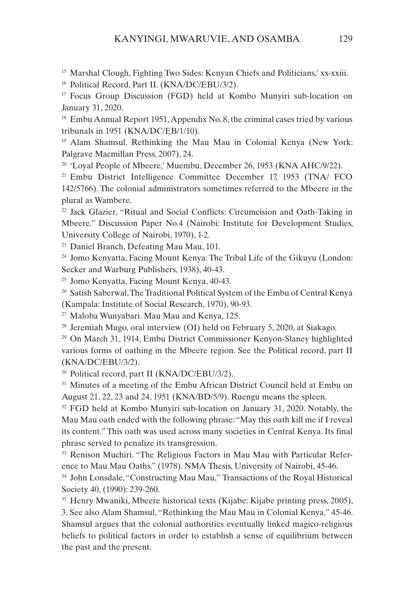<span id="page-23-0"></span><sup>[15](#page-4-0)</sup> Marshal Clough, Fighting Two Sides: Kenyan Chiefs and Politicians,' xx-xxiii.

[16](#page-4-0) Political Record, Part II. (KNA/DC/EBU/3/2).

[17](#page-4-0) Focus Group Discussion (FGD) held at Kombo Munyiri sub-location on January 31, 2020.

<sup>[18](#page-4-0)</sup> Embu Annual Report 1951, Appendix No. 8, the criminal cases tried by various tribunals in 1951 (KNA/DC/EB/1/10).

[19](#page-5-0) Alam Shamsul. Rethinking the Mau Mau in Colonial Kenya (New York: Palgrave Macmillan Press, 2007), 24.

<sup>[20](#page-5-0)</sup> 'Loyal People of Mbeere,' Muembu, December 26, 1953 (KNA AHC/9/22).

[21](#page-5-0) Embu District Intelligence Committee December 17, 1953 (TNA/ FCO 142/5766). The colonial administrators sometimes referred to the Mbeere in the plural as Wambere.

<sup>[22](#page-5-0)</sup> Jack Glazier, "Ritual and Social Conflicts: Circumcision and Oath-Taking in Mbeere." Discussion Paper No.4 (Nairobi: Institute for Development Studies, University College of Nairobi, 1970), 1-2.

[23](#page-5-0) Daniel Branch, Defeating Mau Mau, 101.

[24](#page-6-0) Jomo Kenyatta, Facing Mount Kenya: The Tribal Life of the Gikuyu (London: Secker and Warburg Publishers, 1938), 40-43.

[25](#page-6-0) Jomo Kenyatta, Facing Mount Kenya, 40-43.

<sup>[26](#page-6-0)</sup> Satish Saberwal, The Traditional Political System of the Embu of Central Kenya (Kampala: Institute of Social Research, 1970), 90-93.

[27](#page-6-0) Maloba Wunyabari. Mau Mau and Kenya, 125.

[28](#page-6-0) Jeremiah Mugo, oral interview (OI) held on February 5, 2020, at Siakago.

[29](#page-6-0) On March 31, 1914, Embu District Commissioner Kenyon-Slaney highlighted various forms of oathing in the Mbeere region. See the Political record, part II (KNA/DC/EBU/3/2).

[30](#page-6-0) Political record, part II (KNA/DC/EBU/3/2).

<sup>[31](#page-6-0)</sup> Minutes of a meeting of the Embu African District Council held at Embu on August 21, 22, 23 and 24, 1951 (KNA/BD/5/9). Ruengu means the spleen.

<sup>[32](#page-6-0)</sup> FGD held at Kombo Munyiri sub-location on January 31, 2020. Notably, the Mau Mau oath ended with the following phrase: "May this oath kill me if I reveal its content." This oath was used across many societies in Central Kenya. Its final phrase served to penalize its transgression.

<sup>[33](#page-7-0)</sup> Renison Muchiri. "The Religious Factors in Mau Mau with Particular Reference to Mau Mau Oaths." (1978). NMA Thesis, University of Nairobi, 45-46.

[34](#page-7-0) John Lonsdale, "Constructing Mau Mau," Transactions of the Royal Historical Society 40, (1990): 239-260.

<sup>[35](#page-7-0)</sup> Henry Mwaniki, Mbeere historical texts (Kijabe: Kijabe printing press, 2005), 3. See also Alam Shamsul, "Rethinking the Mau Mau in Colonial Kenya," 45-46. Shamsul argues that the colonial authorities eventually linked magico-religious beliefs to political factors in order to establish a sense of equilibrium between the past and the present.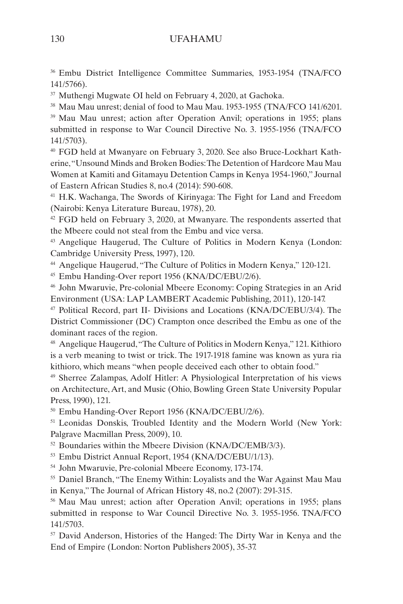<span id="page-24-0"></span>[36](#page-7-0) Embu District Intelligence Committee Summaries, 1953-1954 (TNA/FCO 141/5766).

[37](#page-8-0) Muthengi Mugwate OI held on February 4, 2020, at Gachoka.

<sup>[38](#page-8-0)</sup> Mau Mau unrest; denial of food to Mau Mau. 1953-1955 (TNA/FCO 141/6201.

[39](#page-8-0) Mau Mau unrest; action after Operation Anvil; operations in 1955; plans submitted in response to War Council Directive No. 3. 1955-1956 (TNA/FCO 141/5703).

[40](#page-8-0) FGD held at Mwanyare on February 3, 2020. See also Bruce-Lockhart Katherine, "Unsound Minds and Broken Bodies: The Detention of Hardcore Mau Mau Women at Kamiti and Gitamayu Detention Camps in Kenya 1954-1960," Journal of Eastern African Studies 8, no.4 (2014): 590-608.

[41](#page-8-0) H.K. Wachanga, The Swords of Kirinyaga: The Fight for Land and Freedom (Nairobi: Kenya Literature Bureau, 1978), 20.

 $42$  FGD held on February 3, 2020, at Mwanyare. The respondents asserted that the Mbeere could not steal from the Embu and vice versa.

[43](#page-8-0) Angelique Haugerud, The Culture of Politics in Modern Kenya (London: Cambridge University Press, 1997), 120.

[44](#page-9-0) Angelique Haugerud, "The Culture of Politics in Modern Kenya," 120-121.

[45](#page-9-0) Embu Handing-Over report 1956 (KNA/DC/EBU/2/6).

[46](#page-9-0) John Mwaruvie, Pre-colonial Mbeere Economy: Coping Strategies in an Arid Environment (USA: LAP LAMBERT Academic Publishing, 2011), 120-147.

[47](#page-9-0) Political Record, part II- Divisions and Locations (KNA/DC/EBU/3/4). The District Commissioner (DC) Crampton once described the Embu as one of the dominant races of the region.

[48](#page-9-0) Angelique Haugerud, "The Culture of Politics in Modern Kenya," 121. Kithioro is a verb meaning to twist or trick. The 1917-1918 famine was known as yura ria kithioro, which means "when people deceived each other to obtain food."

[49](#page-10-0) Sherree Zalampas, Adolf Hitler: A Physiological Interpretation of his views on Architecture, Art, and Music (Ohio, Bowling Green State University Popular Press, 1990), 121.

[50](#page-10-0) Embu Handing-Over Report 1956 (KNA/DC/EBU/2/6).

[51](#page-10-0) Leonidas Donskis, Troubled Identity and the Modern World (New York: Palgrave Macmillan Press, 2009), 10.

<sup>[52](#page-10-0)</sup> Boundaries within the Mbeere Division (KNA/DC/EMB/3/3).

[53](#page-10-0) Embu District Annual Report, 1954 (KNA/DC/EBU/1/13).

[54](#page-10-0) John Mwaruvie, Pre-colonial Mbeere Economy, 173-174.

<sup>[55](#page-10-0)</sup> Daniel Branch, "The Enemy Within: Loyalists and the War Against Mau Mau in Kenya," The Journal of African History 48, no.2 (2007): 291-315.

[56](#page-11-0) Mau Mau unrest; action after Operation Anvil; operations in 1955; plans submitted in response to War Council Directive No. 3. 1955-1956. TNA/FCO 141/5703.

<sup>[57](#page-11-0)</sup> David Anderson, Histories of the Hanged: The Dirty War in Kenya and the End of Empire (London: Norton Publishers 2005), 35-37.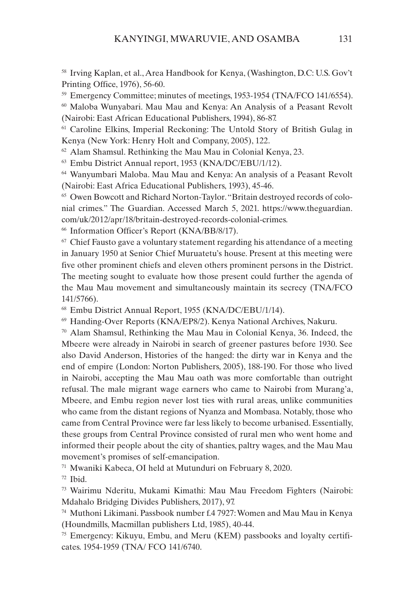<span id="page-25-0"></span>[58](#page-11-0) Irving Kaplan, et al., Area Handbook for Kenya, (Washington, D.C: U.S. Gov't Printing Office, 1976), 56-60.

<sup>[59](#page-11-0)</sup> Emergency Committee; minutes of meetings, 1953-1954 (TNA/FCO 141/6554).

[60](#page-11-0) Maloba Wunyabari. Mau Mau and Kenya: An Analysis of a Peasant Revolt (Nairobi: East African Educational Publishers, 1994), 86-87.

[61](#page-12-0) Caroline Elkins, Imperial Reckoning: The Untold Story of British Gulag in Kenya (New York: Henry Holt and Company, 2005), 122.

 $62$  Alam Shamsul. Rethinking the Mau Mau in Colonial Kenya, 23.

[63](#page-12-0) Embu District Annual report, 1953 (KNA/DC/EBU/1/12).

[64](#page-12-0) Wanyumbari Maloba. Mau Mau and Kenya: An analysis of a Peasant Revolt (Nairobi: East Africa Educational Publishers, 1993), 45-46.

[65](#page-13-0) Owen Bowcott and [Richard Norton-Taylor.](https://www.theguardian.com/profile/richardnortontaylor) "Britain destroyed records of colonial crimes." The Guardian. Accessed March 5, 2021. https://www.theguardian. com/uk/2012/apr/18/britain-destroyed-records-colonial-crimes.

[66](#page-13-0) Information Officer's Report (KNA/BB/8/17).

 $67$  Chief Fausto gave a voluntary statement regarding his attendance of a meeting in January 1950 at Senior Chief Muruatetu's house. Present at this meeting were five other prominent chiefs and eleven others prominent persons in the District. The meeting sought to evaluate how those present could further the agenda of the Mau Mau movement and simultaneously maintain its secrecy (TNA/FCO 141/5766).

[68](#page-13-0) Embu District Annual Report, 1955 (KNA/DC/EBU/1/14).

[69](#page-13-0) Handing-Over Reports (KNA/EP8/2). Kenya National Archives, Nakuru.

[70](#page-14-0) Alam Shamsul, Rethinking the Mau Mau in Colonial Kenya, 36. Indeed, the Mbeere were already in Nairobi in search of greener pastures before 1930. See also David Anderson, Histories of the hanged: the dirty war in Kenya and the end of empire (London: Norton Publishers, 2005), 188-190. For those who lived in Nairobi, accepting the Mau Mau oath was more comfortable than outright refusal. The male migrant wage earners who came to Nairobi from Murang'a, Mbeere, and Embu region never lost ties with rural areas, unlike communities who came from the distant regions of Nyanza and Mombasa. Notably, those who came from Central Province were far less likely to become urbanised. Essentially, these groups from Central Province consisted of rural men who went home and informed their people about the city of shanties, paltry wages, and the Mau Mau movement's promises of self-emancipation.

[71](#page-14-0) Mwaniki Kabeca, OI held at Mutunduri on February 8, 2020.

 $72$  Ibid.

[73](#page-14-0) Wairimu Nderitu, Mukami Kimathi: Mau Mau Freedom Fighters (Nairobi: Mdahalo Bridging Divides Publishers, 2017), 97.

[74](#page-14-0) Muthoni Likimani. Passbook number f.4 7927: Women and Mau Mau in Kenya (Houndmills, Macmillan publishers Ltd, 1985), 40-44.

[75](#page-15-0) Emergency: Kikuyu, Embu, and Meru (KEM) passbooks and loyalty certificates. 1954-1959 (TNA/ FCO 141/6740.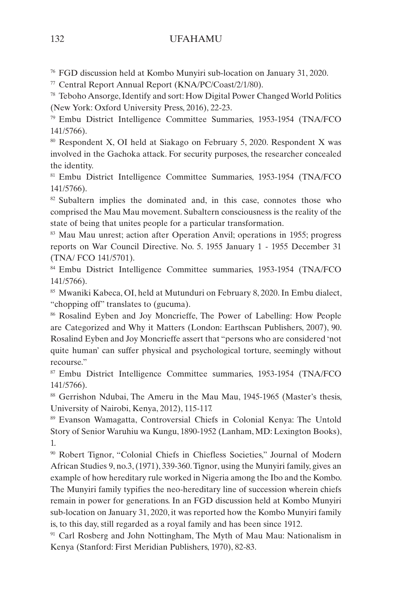<span id="page-26-0"></span>[76](#page-15-0) FGD discussion held at Kombo Munyiri sub-location on January 31, 2020.

[77](#page-15-0) Central Report Annual Report (KNA/PC/Coast/2/1/80).

[78](#page-15-0) Teboho Ansorge, Identify and sort: How Digital Power Changed World Politics (New York: Oxford University Press, 2016), 22-23.

[79](#page-15-0) Embu District Intelligence Committee Summaries, 1953-1954 (TNA/FCO 141/5766).

[80](#page-15-0) Respondent X, OI held at Siakago on February 5, 2020. Respondent X was involved in the Gachoka attack. For security purposes, the researcher concealed the identity.

[81](#page-16-0) Embu District Intelligence Committee Summaries, 1953-1954 (TNA/FCO 141/5766).

<sup>[82](#page-16-0)</sup> Subaltern implies the dominated and, in this case, connotes those who comprised the Mau Mau movement. Subaltern consciousness is the reality of the state of being that unites people for a particular transformation.

[83](#page-16-0) Mau Mau unrest; action after Operation Anvil; operations in 1955; progress reports on War Council Directive. No. 5. 1955 January 1 - 1955 December 31 (TNA/ FCO 141/5701).

[84](#page-16-0) Embu District Intelligence Committee summaries, 1953-1954 (TNA/FCO 141/5766).

<sup>[85](#page-17-0)</sup> Mwaniki Kabeca, OI, held at Mutunduri on February 8, 2020. In Embu dialect, "chopping off" translates to (gucuma).

[86](#page-17-0) Rosalind Eyben and Joy Moncrieffe, The Power of Labelling: How People are Categorized and Why it Matters (London: Earthscan Publishers, 2007), 90. Rosalind Eyben and Joy Moncrieffe assert that "persons who are considered 'not quite human' can suffer physical and psychological torture, seemingly without recourse."

[87](#page-17-0) Embu District Intelligence Committee summaries, 1953-1954 (TNA/FCO 141/5766).

<sup>[88](#page-18-0)</sup> Gerrishon Ndubai, The Ameru in the Mau Mau, 1945-1965 (Master's thesis, University of Nairobi, Kenya, 2012), 115-117.

[89](#page-18-0) Evanson Wamagatta, Controversial Chiefs in Colonial Kenya: The Untold Story of Senior Waruhiu wa Kungu, 1890-1952 (Lanham, MD: Lexington Books), 1.

[90](#page-18-0) Robert Tignor, "Colonial Chiefs in Chiefless Societies," Journal of Modern African Studies 9, no.3, (1971), 339-360. Tignor, using the Munyiri family, gives an example of how hereditary rule worked in Nigeria among the Ibo and the Kombo. The Munyiri family typifies the neo-hereditary line of succession wherein chiefs remain in power for generations. In an FGD discussion held at Kombo Munyiri sub-location on January 31, 2020, it was reported how the Kombo Munyiri family is, to this day, still regarded as a royal family and has been since 1912.

<sup>[91](#page-18-0)</sup> Carl Rosberg and John Nottingham, The Myth of Mau Mau: Nationalism in Kenya (Stanford: First Meridian Publishers, 1970), 82-83.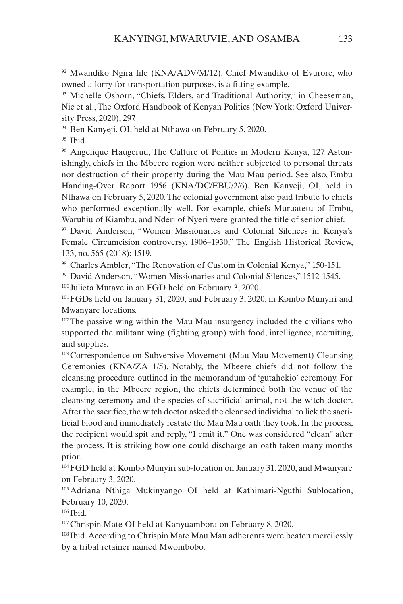<span id="page-27-0"></span> $92$  Mwandiko Ngira file (KNA/ADV/M/12). Chief Mwandiko of Evurore, who owned a lorry for transportation purposes, is a fitting example.

[93](#page-18-0) Michelle Osborn, "Chiefs, Elders, and Traditional Authority," in Cheeseman, Nic et al., The Oxford Handbook of Kenyan Politics (New York: Oxford University Press, 2020), 297.

[94](#page-19-0) Ben Kanyeji, OI, held at Nthawa on February 5, 2020.

 $95$  Ibid.

<sup>[96](#page-19-0)</sup> Angelique Haugerud, The Culture of Politics in Modern Kenya, 127. Astonishingly, chiefs in the Mbeere region were neither subjected to personal threats nor destruction of their property during the Mau Mau period. See also, Embu Handing-Over Report 1956 (KNA/DC/EBU/2/6). Ben Kanyeji, OI, held in Nthawa on February 5, 2020. The colonial government also paid tribute to chiefs who performed exceptionally well. For example, chiefs Muruatetu of Embu, Waruhiu of Kiambu, and Nderi of Nyeri were granted the title of senior chief.

[97](#page-19-0) David Anderson, "Women Missionaries and Colonial Silences in Kenya's Female Circumcision controversy, 1906–1930," The English Historical Review, 133, no. 565 (2018): 1519.

[98](#page-19-0) Charles Ambler, "The Renovation of Custom in Colonial Kenya," 150-151.

[99](#page-19-0) David Anderson, "Women Missionaries and Colonial Silences," 1512-1545.

[100](#page-19-0) Julieta Mutave in an FGD held on February 3, 2020.

[101](#page-19-0)FGDs held on January 31, 2020, and February 3, 2020, in Kombo Munyiri and Mwanyare locations.

<sup>[102](#page-20-0)</sup>The passive wing within the Mau Mau insurgency included the civilians who supported the militant wing (fighting group) with food, intelligence, recruiting, and supplies.

<sup>[103](#page-20-0)</sup> Correspondence on Subversive Movement (Mau Mau Movement) Cleansing Ceremonies (KNA/ZA 1/5). Notably, the Mbeere chiefs did not follow the cleansing procedure outlined in the memorandum of 'gutahekio' ceremony. For example, in the Mbeere region, the chiefs determined both the venue of the cleansing ceremony and the species of sacrificial animal, not the witch doctor. After the sacrifice, the witch doctor asked the cleansed individual to lick the sacrificial blood and immediately restate the Mau Mau oath they took. In the process, the recipient would spit and reply, "I emit it." One was considered "clean" after the process. It is striking how one could discharge an oath taken many months prior.

[104](#page-20-0)FGD held at Kombo Munyiri sub-location on January 31, 2020, and Mwanyare on February 3, 2020.

[105](#page-20-0)Adriana Nthiga Mukinyango OI held at Kathimari-Nguthi Sublocation, February 10, 2020.

[106](#page-20-0) Ibid.

[107](#page-20-0)Chrispin Mate OI held at Kanyuambora on February 8, 2020.

[108](#page-20-0) Ibid. According to Chrispin Mate Mau Mau adherents were beaten mercilessly by a tribal retainer named Mwombobo.